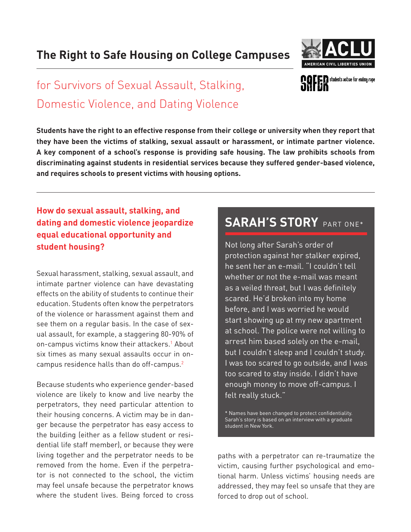## **The Right to Safe Housing on College Campuses**



**COLER** students active for ending rape

# for Survivors of Sexual Assault, Stalking, Domestic Violence, and Dating Violence

**Students have the right to an effective response from their college or university when they report that they have been the victims of stalking, sexual assault or harassment, or intimate partner violence. A key component of a school's response is providing safe housing. The law prohibits schools from discriminating against students in residential services because they suffered gender-based violence, and requires schools to present victims with housing options.**

**How do sexual assault, stalking, and dating and domestic violence jeopardize equal educational opportunity and student housing?**

Sexual harassment, stalking, sexual assault, and intimate partner violence can have devastating effects on the ability of students to continue their education. Students often know the perpetrators of the violence or harassment against them and see them on a regular basis. In the case of sexual assault, for example, a staggering 80-90% of on-campus victims know their attackers.<sup>1</sup> About six times as many sexual assaults occur in oncampus residence halls than do off-campus.<sup>2</sup>

Because students who experience gender-based violence are likely to know and live nearby the perpetrators, they need particular attention to their housing concerns. A victim may be in danger because the perpetrator has easy access to the building (either as a fellow student or residential life staff member), or because they were living together and the perpetrator needs to be removed from the home. Even if the perpetrator is not connected to the school, the victim may feel unsafe because the perpetrator knows where the student lives. Being forced to cross

## SARAH'S STORY PART ONE\*

Not long after Sarah's order of protection against her stalker expired, he sent her an e-mail. "I couldn't tell whether or not the e-mail was meant as a veiled threat, but I was definitely scared. He'd broken into my home before, and I was worried he would start showing up at my new apartment at school. The police were not willing to arrest him based solely on the e-mail, but I couldn't sleep and I couldn't study. I was too scared to go outside, and I was too scared to stay inside. I didn't have enough money to move off-campus. I felt really stuck."

\* Names have been changed to protect confidentiality. Sarah's story is based on an interview with a graduate student in New York.

paths with a perpetrator can re-traumatize the victim, causing further psychological and emotional harm. Unless victims' housing needs are addressed, they may feel so unsafe that they are forced to drop out of school.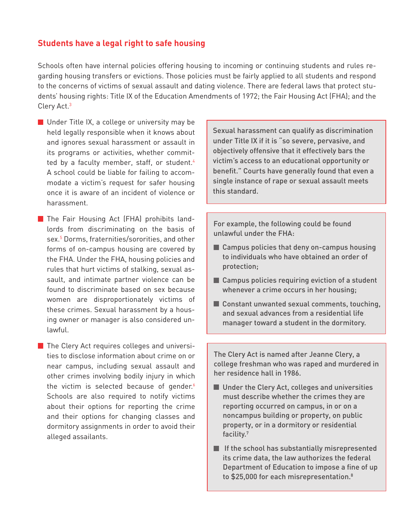### **Students have a legal right to safe housing**

Schools often have internal policies offering housing to incoming or continuing students and rules regarding housing transfers or evictions. Those policies must be fairly applied to all students and respond to the concerns of victims of sexual assault and dating violence. There are federal laws that protect students' housing rights: Title IX of the Education Amendments of 1972; the Fair Housing Act (FHA); and the Clery Act.3

- **Under Title IX, a college or university may be** held legally responsible when it knows about and ignores sexual harassment or assault in its programs or activities, whether committed by a faculty member, staff, or student.<sup>4</sup> A school could be liable for failing to accommodate a victim's request for safer housing once it is aware of an incident of violence or harassment.
- **The Fair Housing Act (FHA) prohibits land**lords from discriminating on the basis of sex.5 Dorms, fraternities/sororities, and other forms of on-campus housing are covered by the FHA. Under the FHA, housing policies and rules that hurt victims of stalking, sexual assault, and intimate partner violence can be found to discriminate based on sex because women are disproportionately victims of these crimes. Sexual harassment by a housing owner or manager is also considered unlawful.
- $\blacksquare$  The Clery Act requires colleges and universities to disclose information about crime on or near campus, including sexual assault and other crimes involving bodily injury in which the victim is selected because of gender. $6$ Schools are also required to notify victims about their options for reporting the crime and their options for changing classes and dormitory assignments in order to avoid their alleged assailants.

Sexual harassment can qualify as discrimination under Title IX if it is "so severe, pervasive, and objectively offensive that it effectively bars the victim's access to an educational opportunity or benefit." Courts have generally found that even a single instance of rape or sexual assault meets this standard.

For example, the following could be found unlawful under the FHA:

- Campus policies that deny on-campus housing to individuals who have obtained an order of protection;
- Campus policies requiring eviction of a student whenever a crime occurs in her housing;
- Constant unwanted sexual comments, touching, and sexual advances from a residential life manager toward a student in the dormitory.

The Clery Act is named after Jeanne Clery, a college freshman who was raped and murdered in her residence hall in 1986.

- **Under the Clery Act, colleges and universities** must describe whether the crimes they are reporting occurred on campus, in or on a noncampus building or property, on public property, or in a dormitory or residential facility.7
- $\blacksquare$  If the school has substantially misrepresented its crime data, the law authorizes the federal Department of Education to impose a fine of up to \$25,000 for each misrepresentation.<sup>8</sup>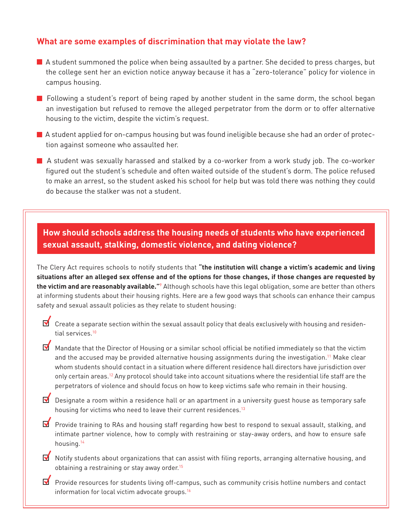### **What are some examples of discrimination that may violate the law?**

- A student summoned the police when being assaulted by a partner. She decided to press charges, but the college sent her an eviction notice anyway because it has a "zero-tolerance" policy for violence in campus housing.
- $\blacksquare$  Following a student's report of being raped by another student in the same dorm, the school began an investigation but refused to remove the alleged perpetrator from the dorm or to offer alternative housing to the victim, despite the victim's request.
- $\blacksquare$  A student applied for on-campus housing but was found ineligible because she had an order of protection against someone who assaulted her.
- A student was sexually harassed and stalked by a co-worker from a work study job. The co-worker figured out the student's schedule and often waited outside of the student's dorm. The police refused to make an arrest, so the student asked his school for help but was told there was nothing they could do because the stalker was not a student.

## **How should schools address the housing needs of students who have experienced sexual assault, stalking, domestic violence, and dating violence?**

The Clery Act requires schools to notify students that **"the institution will change a victim's academic and living situations after an alleged sex offense and of the options for those changes, if those changes are requested by the victim and are reasonably available."**<sup>9</sup> Although schools have this legal obligation, some are better than others at informing students about their housing rights. Here are a few good ways that schools can enhance their campus safety and sexual assault policies as they relate to student housing:

- $\blacksquare$  Create a separate section within the sexual assault policy that deals exclusively with housing and residential services.<sup>10</sup>
- M Mandate that the Director of Housing or a similar school official be notified immediately so that the victim and the accused may be provided alternative housing assignments during the investigation.<sup>11</sup> Make clear whom students should contact in a situation where different residence hall directors have jurisdiction over only certain areas.<sup>12</sup> Any protocol should take into account situations where the residential life staff are the perpetrators of violence and should focus on how to keep victims safe who remain in their housing.
- Designate a room within a residence hall or an apartment in a university guest house as temporary safe housing for victims who need to leave their current residences.<sup>13</sup>
- **M** Provide training to RAs and housing staff regarding how best to respond to sexual assault, stalking, and intimate partner violence, how to comply with restraining or stay-away orders, and how to ensure safe housing.14
- Notify students about organizations that can assist with filing reports, arranging alternative housing, and obtaining a restraining or stay away order.<sup>15</sup>
- **P** Provide resources for students living off-campus, such as community crisis hotline numbers and contact information for local victim advocate groups.16